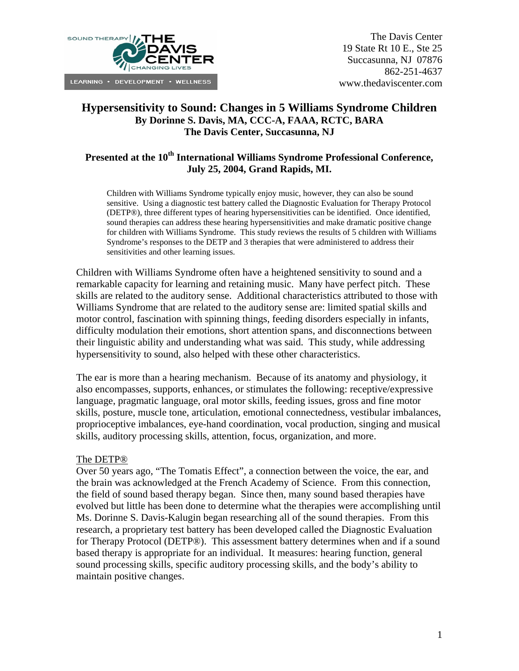

# **Hypersensitivity to Sound: Changes in 5 Williams Syndrome Children By Dorinne S. Davis, MA, CCC-A, FAAA, RCTC, BARA The Davis Center, Succasunna, NJ**

# Presented at the 10<sup>th</sup> International Williams Syndrome Professional Conference, **July 25, 2004, Grand Rapids, MI.**

Children with Williams Syndrome typically enjoy music, however, they can also be sound sensitive. Using a diagnostic test battery called the Diagnostic Evaluation for Therapy Protocol (DETP®), three different types of hearing hypersensitivities can be identified. Once identified, sound therapies can address these hearing hypersensitivities and make dramatic positive change for children with Williams Syndrome. This study reviews the results of 5 children with Williams Syndrome's responses to the DETP and 3 therapies that were administered to address their sensitivities and other learning issues.

Children with Williams Syndrome often have a heightened sensitivity to sound and a remarkable capacity for learning and retaining music. Many have perfect pitch. These skills are related to the auditory sense. Additional characteristics attributed to those with Williams Syndrome that are related to the auditory sense are: limited spatial skills and motor control, fascination with spinning things, feeding disorders especially in infants, difficulty modulation their emotions, short attention spans, and disconnections between their linguistic ability and understanding what was said. This study, while addressing hypersensitivity to sound, also helped with these other characteristics.

The ear is more than a hearing mechanism. Because of its anatomy and physiology, it also encompasses, supports, enhances, or stimulates the following: receptive/expressive language, pragmatic language, oral motor skills, feeding issues, gross and fine motor skills, posture, muscle tone, articulation, emotional connectedness, vestibular imbalances, proprioceptive imbalances, eye-hand coordination, vocal production, singing and musical skills, auditory processing skills, attention, focus, organization, and more.

### The DETP®

Over 50 years ago, "The Tomatis Effect", a connection between the voice, the ear, and the brain was acknowledged at the French Academy of Science. From this connection, the field of sound based therapy began. Since then, many sound based therapies have evolved but little has been done to determine what the therapies were accomplishing until Ms. Dorinne S. Davis-Kalugin began researching all of the sound therapies. From this research, a proprietary test battery has been developed called the Diagnostic Evaluation for Therapy Protocol (DETP®). This assessment battery determines when and if a sound based therapy is appropriate for an individual. It measures: hearing function, general sound processing skills, specific auditory processing skills, and the body's ability to maintain positive changes.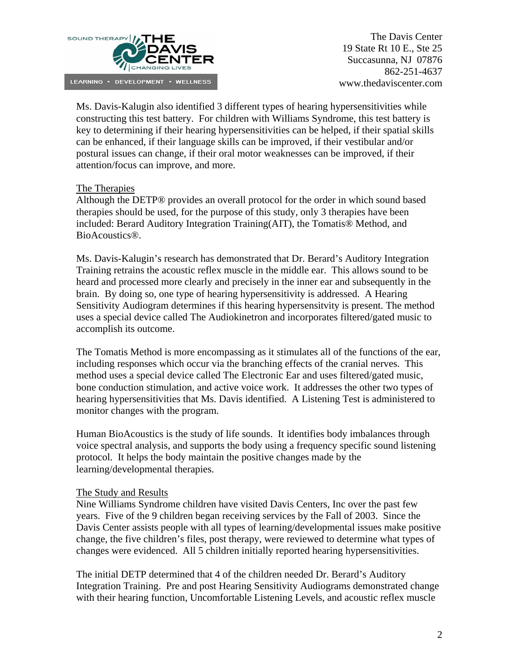

The Davis Center 19 State Rt 10 E., Ste 25 Succasunna, NJ 07876 862-251-4637 www.thedaviscenter.com

Ms. Davis-Kalugin also identified 3 different types of hearing hypersensitivities while constructing this test battery. For children with Williams Syndrome, this test battery is key to determining if their hearing hypersensitivities can be helped, if their spatial skills can be enhanced, if their language skills can be improved, if their vestibular and/or postural issues can change, if their oral motor weaknesses can be improved, if their attention/focus can improve, and more.

### The Therapies

Although the DETP® provides an overall protocol for the order in which sound based therapies should be used, for the purpose of this study, only 3 therapies have been included: Berard Auditory Integration Training(AIT), the Tomatis® Method, and BioAcoustics®.

Ms. Davis-Kalugin's research has demonstrated that Dr. Berard's Auditory Integration Training retrains the acoustic reflex muscle in the middle ear. This allows sound to be heard and processed more clearly and precisely in the inner ear and subsequently in the brain. By doing so, one type of hearing hypersensitivity is addressed. A Hearing Sensitivity Audiogram determines if this hearing hypersensitvity is present. The method uses a special device called The Audiokinetron and incorporates filtered/gated music to accomplish its outcome.

The Tomatis Method is more encompassing as it stimulates all of the functions of the ear, including responses which occur via the branching effects of the cranial nerves. This method uses a special device called The Electronic Ear and uses filtered/gated music, bone conduction stimulation, and active voice work. It addresses the other two types of hearing hypersensitivities that Ms. Davis identified. A Listening Test is administered to monitor changes with the program.

Human BioAcoustics is the study of life sounds. It identifies body imbalances through voice spectral analysis, and supports the body using a frequency specific sound listening protocol. It helps the body maintain the positive changes made by the learning/developmental therapies.

### The Study and Results

Nine Williams Syndrome children have visited Davis Centers, Inc over the past few years. Five of the 9 children began receiving services by the Fall of 2003. Since the Davis Center assists people with all types of learning/developmental issues make positive change, the five children's files, post therapy, were reviewed to determine what types of changes were evidenced. All 5 children initially reported hearing hypersensitivities.

The initial DETP determined that 4 of the children needed Dr. Berard's Auditory Integration Training. Pre and post Hearing Sensitivity Audiograms demonstrated change with their hearing function, Uncomfortable Listening Levels, and acoustic reflex muscle